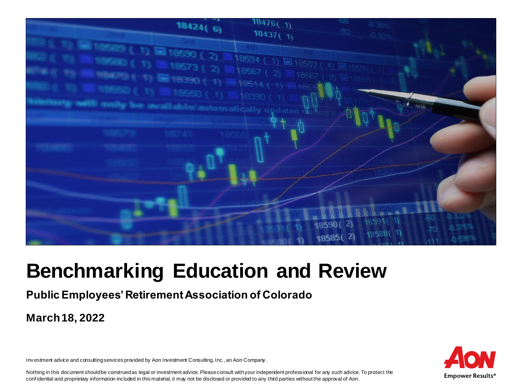

# **Benchmarking Education and Review**

### **Public Employees' Retirement Association of Colorado**

### **March 18, 2022**

**Empower Results<sup>®</sup>** 

Inv estment advice and consulting services provided by Aon Investment Consulting, Inc., an Aon Company.

Nothing in this document should be construed as legal or investment advice. Please consult with your independent professional for any such advice. To protect the conf idential and proprietary information included in this material, it may not be disclosed or provided to any third parties without the approval of Aon.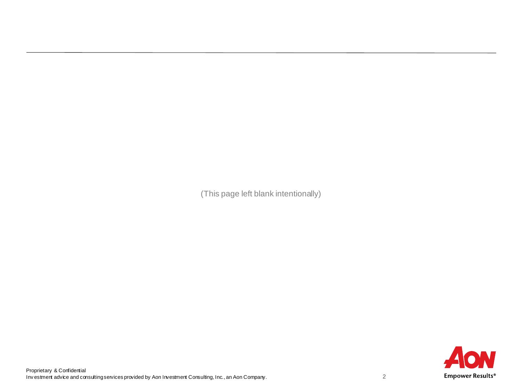(This page left blank intentionally)

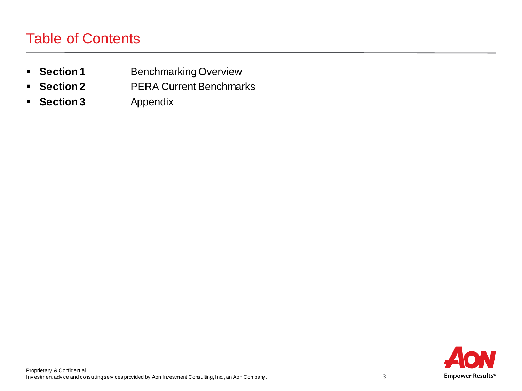### Table of Contents

- **Section 1** Benchmarking Overview
- **Section 2** PERA Current Benchmarks
- **Exection 3** Appendix

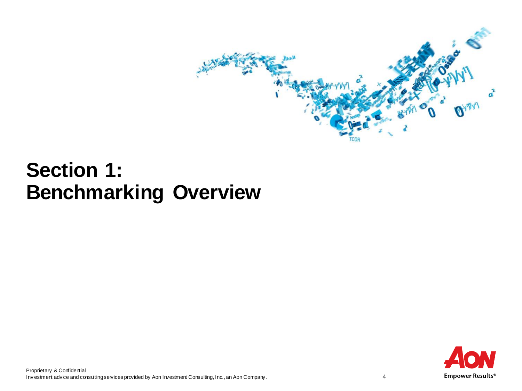

# **Section 1: Benchmarking Overview**

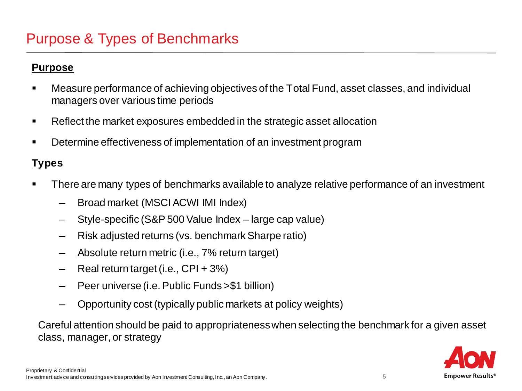### Purpose & Types of Benchmarks

### **Purpose**

- Measure performance of achieving objectives of the Total Fund, asset classes, and individual managers over various time periods
- Reflect the market exposures embedded in the strategic asset allocation
- Determine effectiveness of implementation of an investment program

### **Types**

- There are many types of benchmarks available to analyze relative performance of an investment
	- ― Broad market (MSCI ACWI IMI Index)
	- ― Style-specific (S&P 500 Value Index large cap value)
	- ― Risk adjusted returns (vs. benchmark Sharpe ratio)
	- ― Absolute return metric (i.e., 7% return target)
	- ― Real return target (i.e., CPI + 3%)
	- ― Peer universe (i.e. Public Funds >\$1 billion)
	- ― Opportunity cost (typically public markets at policy weights)

Careful attention should be paid to appropriateness when selecting the benchmark for a given asset class, manager, or strategy

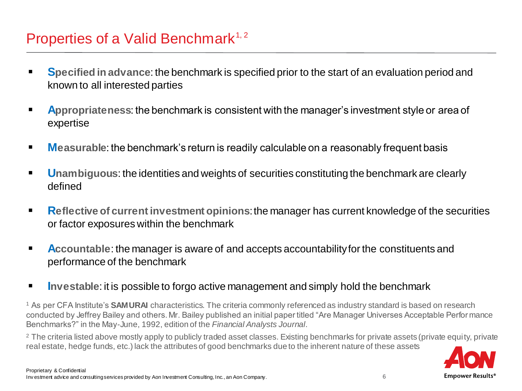### Properties of a Valid Benchmark<sup>1, 2</sup>

- **S**pecified in advance: the benchmark is specified prior to the start of an evaluation period and known to all interested parties
- **EXP** Appropriateness: the benchmark is consistent with the manager's investment style or area of expertise
- **EXP** Measurable: the benchmark's return is readily calculable on a reasonably frequent basis
- **Unambiguous**: the identities and weights of securities constituting the benchmark are clearly defined
- **Reflective of current investment opinions**: the manager has current knowledge of the securities or factor exposures within the benchmark
- **EXPLO Accountable:** the manager is aware of and accepts accountability for the constituents and performance of the benchmark
- **Investable**: it is possible to forgo active management and simply hold the benchmark

<sup>1</sup> As per CFA Institute's **SAMURAI** characteristics. The criteria commonly referenced as industry standard is based on research conducted by Jeffrey Bailey and others. Mr. Bailey published an initial paper titled "Are Manager Universes Acceptable Perfor mance Benchmarks?" in the May-June, 1992, edition of the *Financial Analysts Journal*.

<sup>2</sup> The criteria listed above mostly apply to publicly traded asset classes. Existing benchmarks for private assets (private equity, private real estate, hedge funds, etc.) lack the attributes of good benchmarks due to the inherent nature of these assets

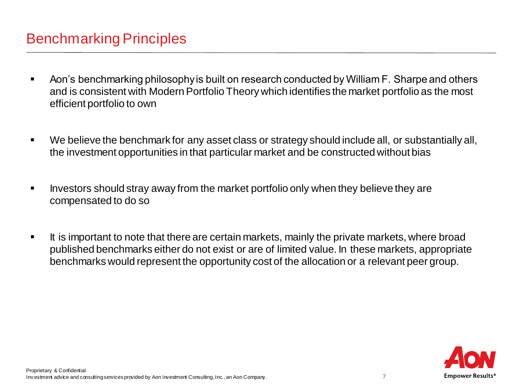### Benchmarking Principles

- Aon's benchmarking philosophy is built on research conducted by William F. Sharpe and others and is consistent with Modern Portfolio Theory which identifies the market portfolio as the most efficient portfolio to own
- We believe the benchmark for any asset class or strategy should include all, or substantially all, the investment opportunities in that particular market and be constructed without bias
- **■** Investors should stray away from the market portfolio only when they believe they are compensated to do so
- It is important to note that there are certain markets, mainly the private markets, where broad published benchmarks either do not exist or are of limited value. In these markets, appropriate benchmarks would represent the opportunity cost of the allocation or a relevant peer group.

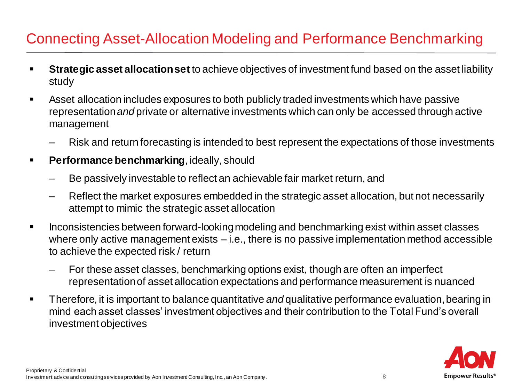### Connecting Asset-Allocation Modeling and Performance Benchmarking

- **EXTERCHIPS 35 Strategic asset allocation set** to achieve objectives of investment fund based on the asset liability study
- Asset allocation includes exposures to both publicly traded investments which have passive representation *and* private or alternative investments which can only be accessed through active management
	- Risk and return forecasting is intended to best represent the expectations of those investments
- **Performance benchmarking**, ideally, should
	- Be passively investable to reflect an achievable fair market return, and
	- Reflect the market exposures embedded in the strategic asset allocation, but not necessarily attempt to mimic the strategic asset allocation
- **EXEDENT Inconsistencies between forward-looking modeling and benchmarking exist within asset classes** where only active management exists – i.e., there is no passive implementation method accessible to achieve the expected risk / return
	- For these asset classes, benchmarking options exist, though are often an imperfect representation of asset allocation expectations and performance measurement is nuanced
- Therefore, it is important to balance quantitative *and* qualitative performance evaluation, bearing in mind each asset classes' investment objectives and their contribution to the Total Fund's overall investment objectives

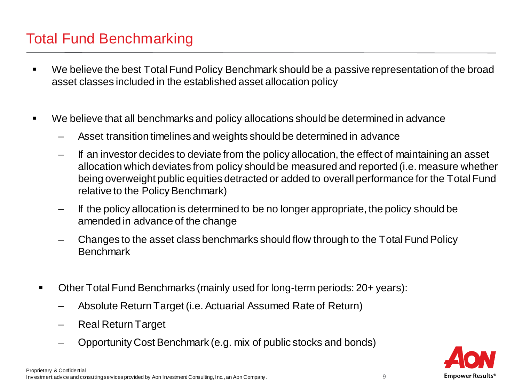### Total Fund Benchmarking

- We believe the best Total Fund Policy Benchmark should be a passive representation of the broad asset classes included in the established asset allocation policy
- We believe that all benchmarks and policy allocations should be determined in advance
	- Asset transition timelines and weights should be determined in advance
	- If an investor decides to deviate from the policy allocation, the effect of maintaining an asset allocation which deviates from policy should be measured and reported (i.e. measure whether being overweight public equities detracted or added to overall performance for the Total Fund relative to the Policy Benchmark)
	- If the policy allocation is determined to be no longer appropriate, the policy should be amended in advance of the change
	- Changes to the asset class benchmarks should flow through to the Total Fund Policy Benchmark
	- Other Total Fund Benchmarks (mainly used for long-term periods: 20+ years):
		- Absolute Return Target (i.e. Actuarial Assumed Rate of Return)
		- Real Return Target
		- Opportunity Cost Benchmark (e.g. mix of public stocks and bonds)

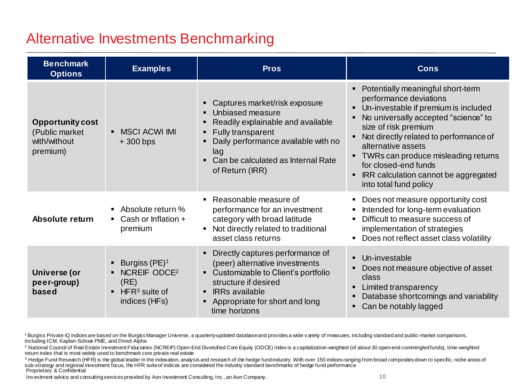### Alternative Investments Benchmarking

| <b>Benchmark</b><br><b>Options</b>                                    | <b>Examples</b>                                                                                                              | <b>Pros</b>                                                                                                                                                                                                                              | <b>Cons</b>                                                                                                                                                                                                                                                                                                                                                              |
|-----------------------------------------------------------------------|------------------------------------------------------------------------------------------------------------------------------|------------------------------------------------------------------------------------------------------------------------------------------------------------------------------------------------------------------------------------------|--------------------------------------------------------------------------------------------------------------------------------------------------------------------------------------------------------------------------------------------------------------------------------------------------------------------------------------------------------------------------|
| <b>Opportunity cost</b><br>(Public market<br>with/without<br>premium) | • MSCI ACWI IMI<br>$+300$ bps                                                                                                | Captures market/risk exposure<br>٠<br>Unbiased measure<br>Readily explainable and available<br>Fully transparent<br>٠<br>Daily performance available with no<br>lag<br>Can be calculated as Internal Rate<br>of Return (IRR)             | • Potentially meaningful short-term<br>performance deviations<br>Un-investable if premium is included<br>No universally accepted "science" to<br>size of risk premium<br>Not directly related to performance of<br>alternative assets<br>• TWRs can produce misleading returns<br>for closed-end funds<br>IRR calculation cannot be aggregated<br>into total fund policy |
| Absolute return                                                       | • Absolute return %<br>• Cash or Inflation $+$<br>premium                                                                    | Reasonable measure of<br>performance for an investment<br>category with broad latitude<br>Not directly related to traditional<br>asset class returns                                                                                     | Does not measure opportunity cost<br>$\blacksquare$<br>Intended for long-term evaluation<br>Difficult to measure success of<br>implementation of strategies<br>• Does not reflect asset class volatility                                                                                                                                                                 |
| Universe (or<br>peer-group)<br>based                                  | Burgiss (PE) <sup>1</sup><br>• NCREIF ODCE <sup>2</sup><br>(RE)<br>$\blacksquare$ HFR <sup>3</sup> suite of<br>indices (HFs) | Directly captures performance of<br>٠<br>(peer) alternative investments<br>Customizable to Client's portfolio<br>٠<br>structure if desired<br><b>IRRs</b> available<br>$\blacksquare$<br>Appropriate for short and long<br>time horizons | Un-investable<br>$\blacksquare$<br>Does not measure objective of asset<br>class<br>Limited transparency<br>Database shortcomings and variability<br>Can be notably lagged                                                                                                                                                                                                |

<sup>1</sup> Burgiss Private iQ indices are based on the Burgiss Manager Universe, a quarterly-updated database and provides a wide v ariety of measures, including standard and public-market comparisons, including ICM, Kaplan-Schoar PME, and Direct Alpha

<sup>2</sup> National Council of Real Estate Investment Fiduciaries (NCREIF) Open-End Diversified Core Equity (ODCE) Index is a capitalization-weighted (of about 30 open-end commingled funds), time-weighted return index that is most widely used to benchmark core private real estate

Proprietary & Confidential <sup>3</sup> Hedge Fund Research (HFR) is the global leader in the indexation, analysis and research of the hedge fund industry. With over 150 indices ranging from broad composites down to specific, niche areas of sub-strategy and regional investment focus, the HFR suite of indices are considered the industry standard benchmarks of hedge fund performance

Investment advice and consulting services provided by Aon Investment Consulting, Inc., an Aon Company. 10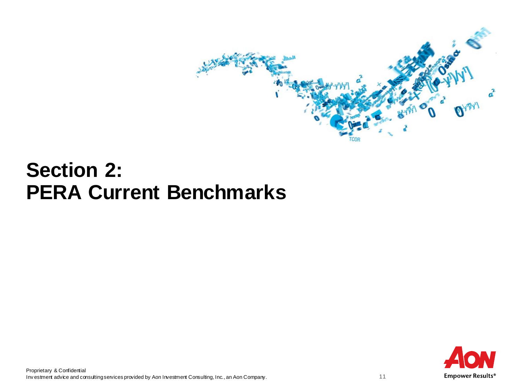

# **Section 2: PERA Current Benchmarks**

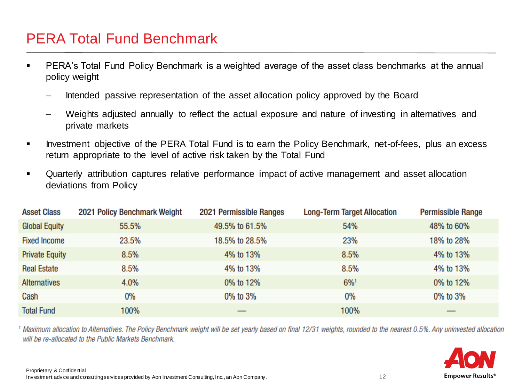### PERA Total Fund Benchmark

- PERA's Total Fund Policy Benchmark is a weighted average of the asset class benchmarks at the annual policy weight
	- Intended passive representation of the asset allocation policy approved by the Board
	- Weights adjusted annually to reflect the actual exposure and nature of investing in alternatives and private markets
- Investment objective of the PERA Total Fund is to earn the Policy Benchmark, net-of-fees, plus an excess return appropriate to the level of active risk taken by the Total Fund
- Quarterly attribution captures relative performance impact of active management and asset allocation deviations from Policy

| <b>Asset Class</b>    | 2021 Policy Benchmark Weight | 2021 Permissible Ranges | <b>Long-Term Target Allocation</b> | <b>Permissible Range</b> |
|-----------------------|------------------------------|-------------------------|------------------------------------|--------------------------|
| <b>Global Equity</b>  | 55.5%                        | 49.5% to 61.5%          | 54%                                | 48% to 60%               |
| <b>Fixed Income</b>   | 23.5%                        | 18.5% to 28.5%          | 23%                                | 18% to 28%               |
| <b>Private Equity</b> | 8.5%                         | 4% to 13%               | 8.5%                               | 4% to 13%                |
| <b>Real Estate</b>    | 8.5%                         | 4% to 13%               | 8.5%                               | 4% to 13%                |
| <b>Alternatives</b>   | 4.0%                         | 0% to 12%               | $6\%$ <sup>1</sup>                 | 0% to 12%                |
| Cash                  | $0\%$                        | 0% to 3%                | $0\%$                              | 0% to 3%                 |
| <b>Total Fund</b>     | 100%                         |                         | 100%                               |                          |

<sup>1</sup> Maximum allocation to Alternatives. The Policy Benchmark weight will be set yearly based on final 12/31 weights, rounded to the nearest 0.5%. Any uninvested allocation will be re-allocated to the Public Markets Benchmark.

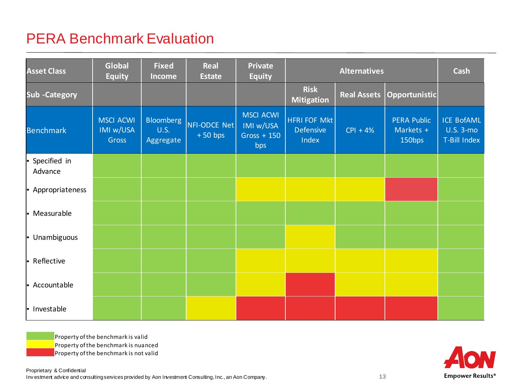### PERA Benchmark Evaluation

| <b>Asset Class</b>        | <b>Global</b><br><b>Equity</b>                | <b>Fixed</b><br><b>Income</b>         | Real<br><b>Estate</b>     | <b>Private</b><br><b>Equity</b>                              |                                                  | <b>Alternatives</b> |                                           | <b>Cash</b>                                           |
|---------------------------|-----------------------------------------------|---------------------------------------|---------------------------|--------------------------------------------------------------|--------------------------------------------------|---------------------|-------------------------------------------|-------------------------------------------------------|
| <b>Sub-Category</b>       |                                               |                                       |                           |                                                              | <b>Risk</b><br><b>Mitigation</b>                 | <b>Real Assets</b>  | Opportunistic                             |                                                       |
| <b>Benchmark</b>          | <b>MSCI ACWI</b><br>IMI w/USA<br><b>Gross</b> | <b>Bloomberg</b><br>U.S.<br>Aggregate | NFI-ODCE Net<br>$+50$ bps | <b>MSCI ACWI</b><br><b>IMI w/USA</b><br>Gross + $150$<br>bps | <b>HFRI FOF Mkt</b><br><b>Defensive</b><br>Index | $ CP  + 4%$         | <b>PERA Public</b><br>Markets +<br>150bps | <b>ICE BofAML</b><br><b>U.S. 3-mo</b><br>T-Bill Index |
| · Specified in<br>Advance |                                               |                                       |                           |                                                              |                                                  |                     |                                           |                                                       |
| • Appropriateness         |                                               |                                       |                           |                                                              |                                                  |                     |                                           |                                                       |
| • Measurable              |                                               |                                       |                           |                                                              |                                                  |                     |                                           |                                                       |
| $\cdot$ Unambiguous       |                                               |                                       |                           |                                                              |                                                  |                     |                                           |                                                       |
| • Reflective              |                                               |                                       |                           |                                                              |                                                  |                     |                                           |                                                       |
| • Accountable             |                                               |                                       |                           |                                                              |                                                  |                     |                                           |                                                       |
| • Investable              |                                               |                                       |                           |                                                              |                                                  |                     |                                           |                                                       |

Property of the benchmark is valid Property of the benchmark is nuanced Property of the benchmark is not valid

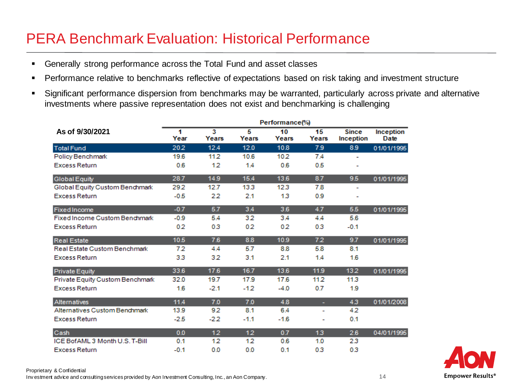### PERA Benchmark Evaluation: Historical Performance

- Generally strong performance across the Total Fund and asset classes
- Performance relative to benchmarks reflective of expectations based on risk taking and investment structure
- Significant performance dispersion from benchmarks may be warranted, particularly across private and alternative investments where passive representation does not exist and benchmarking is challenging

|                                 |           |            |                | Performance(%) |             |                           |                   |
|---------------------------------|-----------|------------|----------------|----------------|-------------|---------------------------|-------------------|
| As of 9/30/2021                 | 1<br>Year | 3<br>Years | 5<br>Years     | 10<br>Years    | 15<br>Years | <b>Since</b><br>Inception | Inception<br>Date |
| <b>Total Fund</b>               | 20.2      | 12.4       | 12.0           | 10.8           | 7.9         | 8.9                       | 01/01/1995        |
| Policy Benchmark                | 19.6      | 11.2       | 10.6           | 10.2           | 74          |                           |                   |
| <b>Excess Return</b>            | 0.6       | 12         | 1.4            | 0.6            | 0.5         | ٠                         |                   |
| <b>Global Equity</b>            | 28.7      | 14.9       | 15.4           | 13.6           | 8.7         | 9.5                       | 01/01/1995        |
| Global Equity Custom Benchmark  | 29.2      | 12.7       | 13.3           | 12.3           | 7.8         | ۰                         |                   |
| <b>Excess Return</b>            | $-0.5$    | 22         | 2.1            | 1.3            | 0.9         | ۰                         |                   |
| <b>Fixed Income</b>             | $-0.7$    | 5.7        | 3 <sub>A</sub> | 3.6            | 4.7         | 5.5                       | 01/01/1995        |
| Fixed Income Custom Benchmark   | $-0.9$    | 5.4        | 32             | 3.4            | 4.4         | 5.6                       |                   |
| <b>Excess Return</b>            | 0.2       | 0.3        | 0.2            | 0.2            | 0.3         | $-0.1$                    |                   |
| <b>Real Estate</b>              | 10.5      | 7.6        | 8.8            | 10.9           | 72          | 9.7                       | 01/01/1995        |
| Real Estate Custom Benchmark    | 72        | 44         | 57             | 8.8            | 5.8         | 8.1                       |                   |
| <b>Excess Return</b>            | 3.3       | 32         | 3.1            | 2.1            | 1.4         | 1.6                       |                   |
| Private Equity                  | 33.6      | 17.6       | 16.7           | 13.6           | 11.9        | 132                       | 01/01/1995        |
| Private Equity Custom Benchmark | 32.0      | 19.7       | 17.9           | 17.6           | 11.2        | 11.3                      |                   |
| <b>Excess Return</b>            | 1.6       | $-2.1$     | $-12$          | $-4.0$         | 0.7         | 1.9                       |                   |
| Alternatives                    | 11.4      | 7.0        | 7.0            | 4.8            |             | 4.3                       | 01/01/2008        |
| Alternatives Custom Benchmark   | 13.9      | 92         | 8.1            | 6.4            | ٠           | 42                        |                   |
| <b>Excess Return</b>            | $-2.5$    | $-22$      | $-1.1$         | $-1.6$         |             | 0.1                       |                   |
| Cash                            | 0.0       | 12         | 12             | 0.7            | 1.3         | 2.6                       | 04/01/1995        |
| ICE BofAML 3 Month U.S. T-Bill  | 0.1       | 12         | 12             | 0.6            | 1.0         | 23                        |                   |
| <b>Excess Return</b>            | $-0.1$    | 0.0        | 0.0            | 0.1            | 0.3         | 0.3                       |                   |

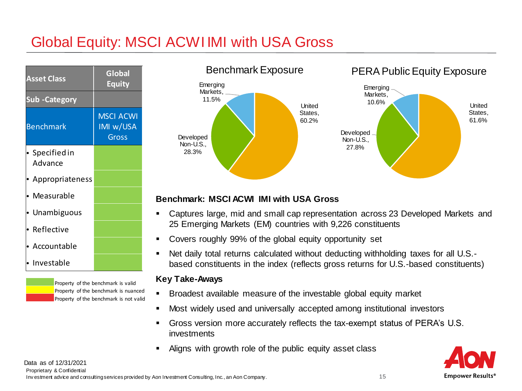# Global Equity: MSCI ACWI IMI with USA Gross

| <b>Asset Class</b>      | Global<br><b>Equity</b>                       |
|-------------------------|-----------------------------------------------|
| <b>Sub-Category</b>     |                                               |
| <b>Benchmark</b>        | <b>MSCI ACWI</b><br><b>IMI</b> w/USA<br>Gross |
| Specified in<br>Advance |                                               |
| Appropriateness         |                                               |
| Measurable              |                                               |
| Unambiguous             |                                               |
| Reflective              |                                               |
| Accountable             |                                               |
| Investable              |                                               |





### **Benchmark: MSCI ACWI IMI with USA Gross**

- Captures large, mid and small cap representation across 23 Developed Markets and 25 Emerging Markets (EM) countries with 9,226 constituents
- Covers roughly 99% of the global equity opportunity set
- Net daily total returns calculated without deducting withholding taxes for all U.S. based constituents in the index (reflects gross returns for U.S.-based constituents)

#### **Key Take-Aways**

- Broadest available measure of the investable global equity market
- Most widely used and universally accepted among institutional investors
- Gross version more accurately reflects the tax-exempt status of PERA's U.S. investments
- Aligns with growth role of the public equity asset class

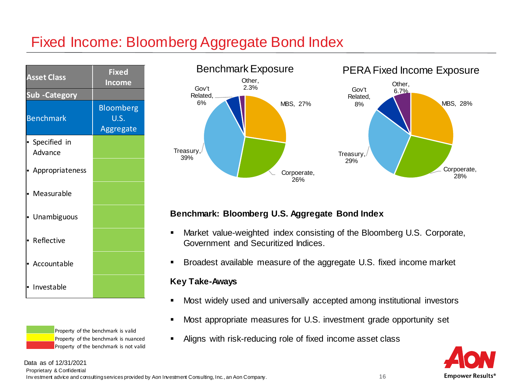## Fixed Income: Bloomberg Aggregate Bond Index



|  | Property of the benchmark is valid     |  |
|--|----------------------------------------|--|
|  | Property of the benchmark is nuanced   |  |
|  | Property of the benchmark is not valid |  |



#### **Benchmark: Bloomberg U.S. Aggregate Bond Index**

- Market value-weighted index consisting of the Bloomberg U.S. Corporate, Government and Securitized Indices.
- Broadest available measure of the aggregate U.S. fixed income market

#### **Key Take-Aways**

- Most widely used and universally accepted among institutional investors
- Most appropriate measures for U.S. investment grade opportunity set
- Aligns with risk-reducing role of fixed income asset class



Proprietary & Confidential Investment advice and consulting services provided by Aon Investment Consulting, Inc., an Aon Company. Data as of 12/31/2021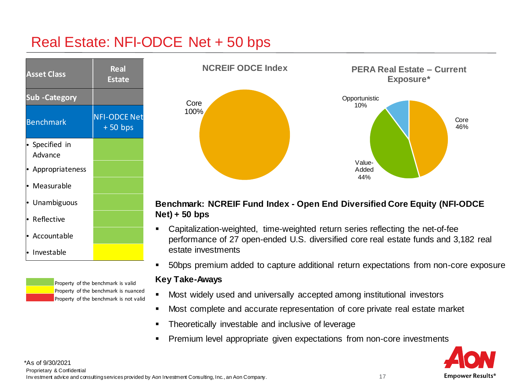## Real Estate: NFI-ODCE Net + 50 bps

| <b>Asset Class</b>      | <b>Real</b><br><b>Estate</b>     |
|-------------------------|----------------------------------|
| <b>Sub-Category</b>     |                                  |
| <b>Benchmark</b>        | <b>NFI-ODCE Net</b><br>$+50$ bps |
| Specified in<br>Advance |                                  |
| Appropriateness         |                                  |
| Measurable              |                                  |
| Unambiguous             |                                  |
| Reflective              |                                  |
| Accountable             |                                  |
| Investable              |                                  |



Core 100% **NCREIF ODCE Index**



**Benchmark: NCREIF Fund Index - Open End Diversified Core Equity (NFI-ODCE Net) + 50 bps**

- Capitalization-weighted, time-weighted return series reflecting the net-of-fee performance of 27 open-ended U.S. diversified core real estate funds and 3,182 real estate investments
- 50bps premium added to capture additional return expectations from non-core exposure

#### **Key Take-Aways**

- Most widely used and universally accepted among institutional investors
- Most complete and accurate representation of core private real estate market
- Theoretically investable and inclusive of leverage
- **•** Premium level appropriate given expectations from non-core investments

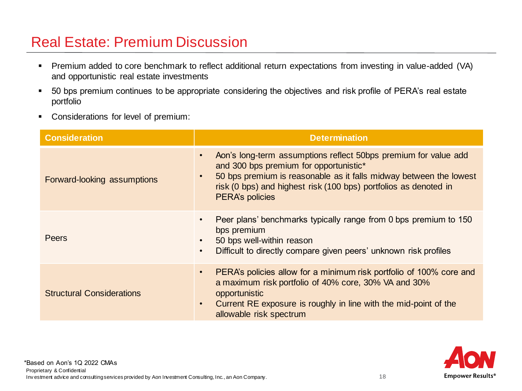### Real Estate: Premium Discussion

- Premium added to core benchmark to reflect additional return expectations from investing in value-added (VA) and opportunistic real estate investments
- 50 bps premium continues to be appropriate considering the objectives and risk profile of PERA's real estate portfolio
- Considerations for level of premium:

| <b>Consideration</b>             | <b>Determination</b>                                                                                                                                                                                                                                                                                    |
|----------------------------------|---------------------------------------------------------------------------------------------------------------------------------------------------------------------------------------------------------------------------------------------------------------------------------------------------------|
| Forward-looking assumptions      | Aon's long-term assumptions reflect 50bps premium for value add<br>$\bullet$<br>and 300 bps premium for opportunistic*<br>50 bps premium is reasonable as it falls midway between the lowest<br>$\bullet$<br>risk (0 bps) and highest risk (100 bps) portfolios as denoted in<br><b>PERA's policies</b> |
| <b>Peers</b>                     | Peer plans' benchmarks typically range from 0 bps premium to 150<br>bps premium<br>50 bps well-within reason<br>Difficult to directly compare given peers' unknown risk profiles<br>$\bullet$                                                                                                           |
| <b>Structural Considerations</b> | PERA's policies allow for a minimum risk portfolio of 100% core and<br>$\bullet$<br>a maximum risk portfolio of 40% core, 30% VA and 30%<br>opportunistic<br>Current RE exposure is roughly in line with the mid-point of the<br>$\bullet$<br>allowable risk spectrum                                   |

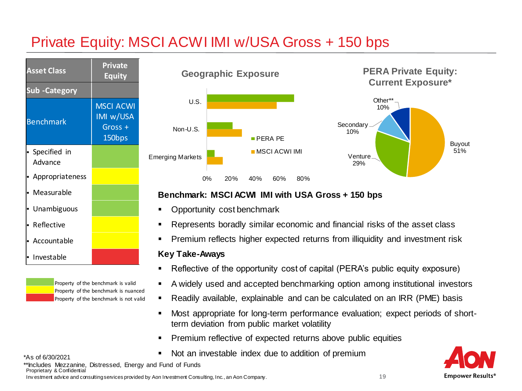## Private Equity: MSCI ACWI IMI w/USA Gross + 150 bps





\*As of 6/30/2021

Buyout 51% Venture 29% Secondary 10% Other\*\* 10% **Current Exposure\*** Emerging Markets Non-U.S. U.S. **Geographic Exposure PERA PE** MSCI ACWI IMI

0% 20% 40% 60% 80%

#### **Benchmark: MSCI ACWI IMI with USA Gross + 150 bps**

- Opportunity cost benchmark
- Represents boradly similar economic and financial risks of the asset class
- Premium reflects higher expected returns from illiquidity and investment risk

#### **Key Take-Aways**

- Reflective of the opportunity cost of capital (PERA's public equity exposure)
- A widely used and accepted benchmarking option among institutional investors
- Readily available, explainable and can be calculated on an IRR (PME) basis
- Most appropriate for long-term performance evaluation; expect periods of shortterm deviation from public market volatility
- Premium reflective of expected returns above public equities
- Not an investable index due to addition of premium

Proprietary & Confidential \*\*Includes Mezzanine, Distressed, Energy and Fund of Funds

Investment advice and consulting services provided by Aon Investment Consulting, Inc., an Aon Company. 19<br>
19

**PERA Private Equity:**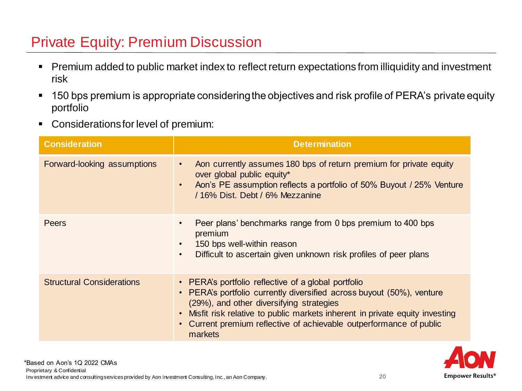## Private Equity: Premium Discussion

- Premium added to public market index to reflect return expectations from illiquidity and investment risk
- 150 bps premium is appropriate considering the objectives and risk profile of PERA's private equity portfolio
- Considerations for level of premium:

| <b>Consideration</b>             | <b>Determination</b>                                                                                                                                                                                                                                                                                                                                            |
|----------------------------------|-----------------------------------------------------------------------------------------------------------------------------------------------------------------------------------------------------------------------------------------------------------------------------------------------------------------------------------------------------------------|
| Forward-looking assumptions      | Aon currently assumes 180 bps of return premium for private equity<br>$\bullet$<br>over global public equity*<br>Aon's PE assumption reflects a portfolio of 50% Buyout / 25% Venture<br>$\bullet$<br>/ 16% Dist. Debt / 6% Mezzanine                                                                                                                           |
| Peers                            | Peer plans' benchmarks range from 0 bps premium to 400 bps<br>$\bullet$<br>premium<br>150 bps well-within reason<br>$\bullet$<br>Difficult to ascertain given unknown risk profiles of peer plans<br>$\bullet$                                                                                                                                                  |
| <b>Structural Considerations</b> | • PERA's portfolio reflective of a global portfolio<br>PERA's portfolio currently diversified across buyout (50%), venture<br>$\bullet$<br>(29%), and other diversifying strategies<br>Misfit risk relative to public markets inherent in private equity investing<br>$\bullet$<br>Current premium reflective of achievable outperformance of public<br>markets |

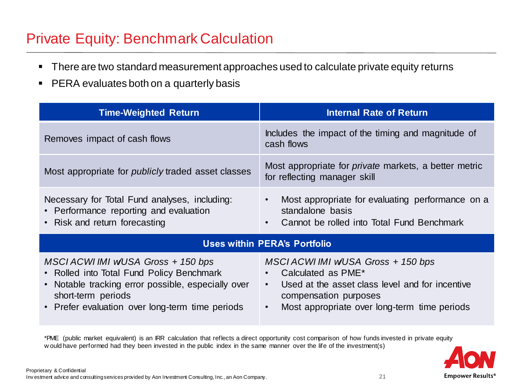### Private Equity: Benchmark Calculation

- There are two standard measurement approaches used to calculate private equity returns
- PERA evaluates both on a quarterly basis

| <b>Time-Weighted Return</b>                                                                                                                                                                                    | <b>Internal Rate of Return</b>                                                                                                                                                                                             |
|----------------------------------------------------------------------------------------------------------------------------------------------------------------------------------------------------------------|----------------------------------------------------------------------------------------------------------------------------------------------------------------------------------------------------------------------------|
| Removes impact of cash flows                                                                                                                                                                                   | Includes the impact of the timing and magnitude of<br>cash flows                                                                                                                                                           |
| Most appropriate for <i>publicly</i> traded asset classes                                                                                                                                                      | Most appropriate for <i>private</i> markets, a better metric<br>for reflecting manager skill                                                                                                                               |
| Necessary for Total Fund analyses, including:<br>• Performance reporting and evaluation<br>• Risk and return forecasting                                                                                       | Most appropriate for evaluating performance on a<br>$\bullet$<br>standalone basis<br>Cannot be rolled into Total Fund Benchmark<br>$\bullet$                                                                               |
|                                                                                                                                                                                                                | <b>Uses within PERA's Portfolio</b>                                                                                                                                                                                        |
| MSCI ACWI IMI wUSA Gross + 150 bps<br>• Rolled into Total Fund Policy Benchmark<br>• Notable tracking error possible, especially over<br>short-term periods<br>• Prefer evaluation over long-term time periods | MSCI ACWI IMI wUSA Gross + 150 bps<br>Calculated as PME <sup>*</sup><br>Used at the asset class level and for incentive<br>$\bullet$<br>compensation purposes<br>Most appropriate over long-term time periods<br>$\bullet$ |

\*PME (public market equivalent) is an IRR calculation that reflects a direct opportunity cost comparison of how funds invested in private equity w ould have performed had they been invested in the public index in the same manner over the life of the investment(s)

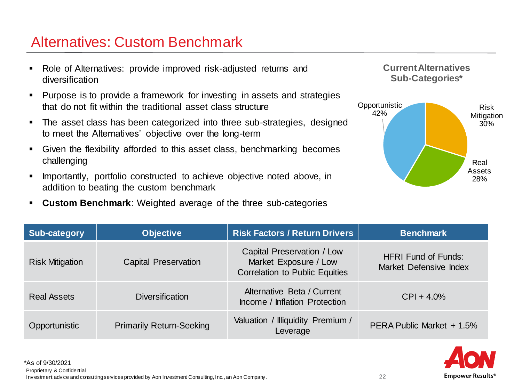### Alternatives: Custom Benchmark

- Role of Alternatives: provide improved risk-adjusted returns and diversification
- Purpose is to provide a framework for investing in assets and strategies that do not fit within the traditional asset class structure
- The asset class has been categorized into three sub-strategies, designed to meet the Alternatives' objective over the long-term
- Given the flexibility afforded to this asset class, benchmarking becomes challenging
- Importantly, portfolio constructed to achieve objective noted above, in addition to beating the custom benchmark
- **Custom Benchmark**: Weighted average of the three sub-categories

#### **Current Alternatives Sub-Categories\***



| <b>Sub-category</b>    | <b>Objective</b>                | <b>Risk Factors / Return Drivers</b>                                                         | <b>Benchmark</b>                                     |
|------------------------|---------------------------------|----------------------------------------------------------------------------------------------|------------------------------------------------------|
| <b>Risk Mitigation</b> | <b>Capital Preservation</b>     | Capital Preservation / Low<br>Market Exposure / Low<br><b>Correlation to Public Equities</b> | <b>HFRI Fund of Funds:</b><br>Market Defensive Index |
| <b>Real Assets</b>     | <b>Diversification</b>          | Alternative Beta / Current<br>Income / Inflation Protection                                  | $CPI + 4.0\%$                                        |
| Opportunistic          | <b>Primarily Return-Seeking</b> | Valuation / Illiquidity Premium /<br>Leverage                                                | PERA Public Market + 1.5%                            |

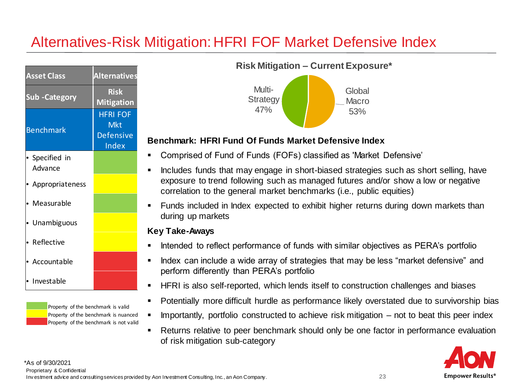## Alternatives-Risk Mitigation: HFRI FOF Market Defensive Index

| <b>Alternatives</b>                          |
|----------------------------------------------|
| <b>Risk</b><br><b>Mitigation</b>             |
| HFRI FOF<br>Mkt<br><b>Defensive</b><br>Index |
|                                              |
|                                              |
|                                              |
|                                              |
|                                              |
|                                              |
|                                              |
|                                              |

Property of the benchmark is valid Property of the benchmark is nuanced Property of the benchmark is not valid

### **Risk Mitigation – Current Exposure\***



#### **Benchmark: HFRI Fund Of Funds Market Defensive Index**

- Comprised of Fund of Funds (FOFs) classified as 'Market Defensive'
- Includes funds that may engage in short-biased strategies such as short selling, have exposure to trend following such as managed futures and/or show a low or negative correlation to the general market benchmarks (i.e., public equities)
- **EXECT** Funds included in Index expected to exhibit higher returns during down markets than during up markets

#### **Key Take-Aways**

- Intended to reflect performance of funds with similar objectives as PERA's portfolio
- Index can include a wide array of strategies that may be less "market defensive" and perform differently than PERA's portfolio
- HFRI is also self-reported, which lends itself to construction challenges and biases
- **•** Potentially more difficult hurdle as performance likely overstated due to survivorship bias
- **EXED** Importantly, portfolio constructed to achieve risk mitigation not to beat this peer index
- Returns relative to peer benchmark should only be one factor in performance evaluation of risk mitigation sub-category

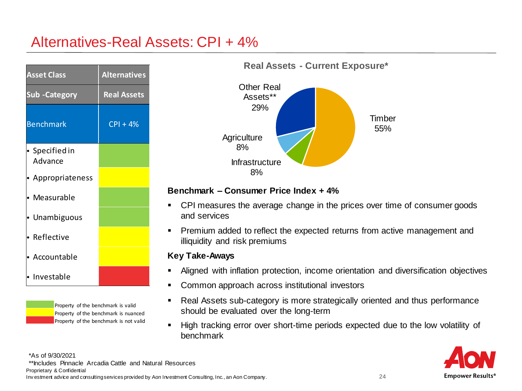## Alternatives-Real Assets: CPI + 4%

| <b>Asset Class</b>      | <b>Alternatives</b> |
|-------------------------|---------------------|
| <b>Sub-Category</b>     | <b>Real Assets</b>  |
| <b>Benchmark</b>        | $CPI + 4%$          |
| Specified in<br>Advance |                     |
| Appropriateness         |                     |
| Measurable              |                     |
| Unambiguous             |                     |
| Reflective              |                     |
| Accountable             |                     |
| Investable              |                     |

Property of the benchmark is valid Property of the benchmark is nuanced Property of the benchmark is not valid



#### **Benchmark – Consumer Price Index + 4%**

- CPI measures the average change in the prices over time of consumer goods and services
- Premium added to reflect the expected returns from active management and illiquidity and risk premiums

#### **Key Take-Aways**

- Aligned with inflation protection, income orientation and diversification objectives
- Common approach across institutional investors
- Real Assets sub-category is more strategically oriented and thus performance should be evaluated over the long-term
- High tracking error over short-time periods expected due to the low volatility of benchmark



Proprietary & Confidential Inv estment advice and consulting services provided by Aon Investment Consulting, Inc., an Aon Company. 24 \*As of 9/30/2021 \*\*Includes Pinnacle Arcadia Cattle and Natural Resources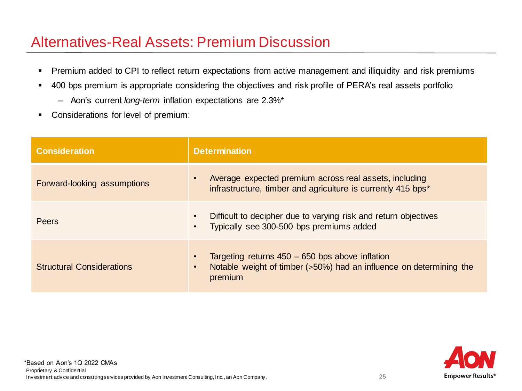### Alternatives-Real Assets: Premium Discussion

- **•** Premium added to CPI to reflect return expectations from active management and illiquidity and risk premiums
- 400 bps premium is appropriate considering the objectives and risk profile of PERA's real assets portfolio
	- Aon's current *long-term* inflation expectations are 2.3%\*
- Considerations for level of premium:

| <b>Consideration</b>             | <b>Determination</b>                                                                                                                |
|----------------------------------|-------------------------------------------------------------------------------------------------------------------------------------|
| Forward-looking assumptions      | Average expected premium across real assets, including<br>infrastructure, timber and agriculture is currently 415 bps*              |
| Peers                            | Difficult to decipher due to varying risk and return objectives<br>Typically see 300-500 bps premiums added                         |
| <b>Structural Considerations</b> | Targeting returns $450 - 650$ bps above inflation<br>Notable weight of timber (>50%) had an influence on determining the<br>premium |

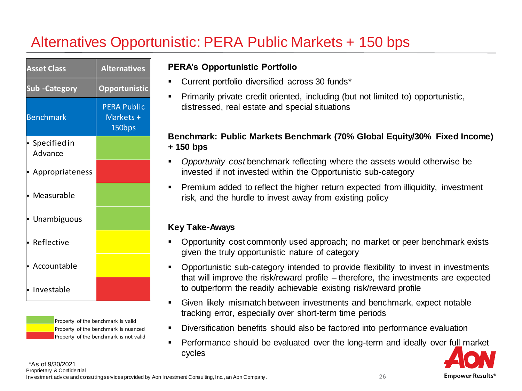## Alternatives Opportunistic: PERA Public Markets + 150 bps

| <b>Asset Class</b>      | <b>Alternatives</b>                       |
|-------------------------|-------------------------------------------|
| <b>Sub-Category</b>     | <b>Opportunistic</b>                      |
| <b>Benchmark</b>        | <b>PERA Public</b><br>Markets +<br>150bps |
| Specified in<br>Advance |                                           |
| Appropriateness         |                                           |
| Measurable              |                                           |
| Unambiguous             |                                           |
| Reflective              |                                           |
| Accountable             |                                           |
| Investable              |                                           |

Property of the benchmark is valid Property of the benchmark is nuanced Property of the benchmark is not valid

### **PERA's Opportunistic Portfolio**

- Current portfolio diversified across 30 funds\*
- Primarily private credit oriented, including (but not limited to) opportunistic, distressed, real estate and special situations

#### **Benchmark: Public Markets Benchmark (70% Global Equity/30% Fixed Income) + 150 bps**

- *Opportunity cost* benchmark reflecting where the assets would otherwise be invested if not invested within the Opportunistic sub-category
- **•** Premium added to reflect the higher return expected from illiquidity, investment risk, and the hurdle to invest away from existing policy

#### **Key Take-Aways**

- Opportunity cost commonly used approach; no market or peer benchmark exists given the truly opportunistic nature of category
- Opportunistic sub-category intended to provide flexibility to invest in investments that will improve the risk/reward profile – therefore, the investments are expected to outperform the readily achievable existing risk/reward profile
- Given likely mismatch between investments and benchmark, expect notable tracking error, especially over short-term time periods
- Diversification benefits should also be factored into performance evaluation
- Performance should be evaluated over the long-term and ideally over full market cycles

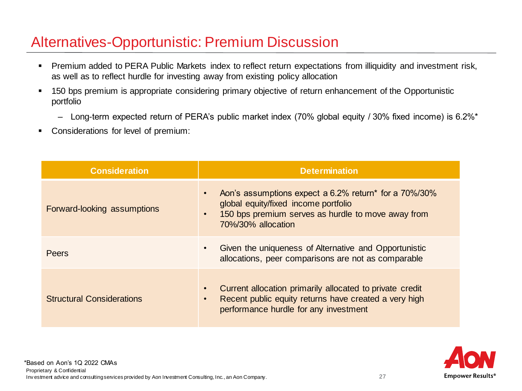### Alternatives-Opportunistic: Premium Discussion

- **•** Premium added to PERA Public Markets index to reflect return expectations from illiquidity and investment risk, as well as to reflect hurdle for investing away from existing policy allocation
- 150 bps premium is appropriate considering primary objective of return enhancement of the Opportunistic portfolio
	- Long-term expected return of PERA's public market index (70% global equity / 30% fixed income) is 6.2%\*
- Considerations for level of premium:

| <b>Consideration</b>             | <b>Determination</b>                                                                                                                                                                                |
|----------------------------------|-----------------------------------------------------------------------------------------------------------------------------------------------------------------------------------------------------|
| Forward-looking assumptions      | Aon's assumptions expect a 6.2% return* for a 70%/30%<br>$\bullet$<br>global equity/fixed income portfolio<br>150 bps premium serves as hurdle to move away from<br>$\bullet$<br>70%/30% allocation |
| <b>Peers</b>                     | Given the uniqueness of Alternative and Opportunistic<br>$\bullet$<br>allocations, peer comparisons are not as comparable                                                                           |
| <b>Structural Considerations</b> | Current allocation primarily allocated to private credit<br>$\bullet$<br>Recent public equity returns have created a very high<br>$\bullet$<br>performance hurdle for any investment                |

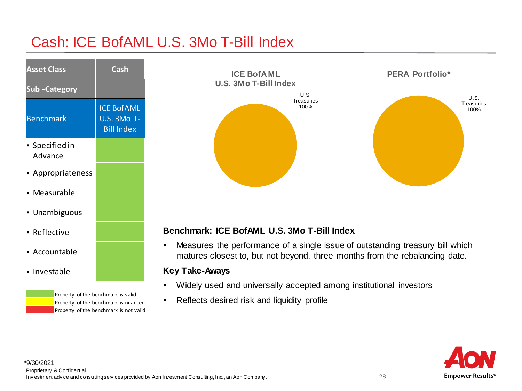## Cash: ICE BofAML U.S. 3Mo T-Bill Index



Property of the benchmark is valid Property of the benchmark is nuanced Property of the benchmark is not valid



#### **Benchmark: ICE BofAML U.S. 3Mo T-Bill Index**

■ Measures the performance of a single issue of outstanding treasury bill which matures closest to, but not beyond, three months from the rebalancing date.

#### **Key Take-Aways**

- Widely used and universally accepted among institutional investors
- Reflects desired risk and liquidity profile

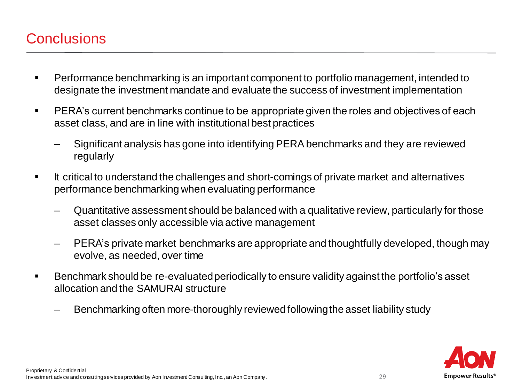### **Conclusions**

- Performance benchmarking is an important component to portfolio management, intended to designate the investment mandate and evaluate the success of investment implementation
- **PERA's current benchmarks continue to be appropriate given the roles and objectives of each** asset class, and are in line with institutional best practices
	- Significant analysis has gone into identifying PERA benchmarks and they are reviewed regularly
- It critical to understand the challenges and short-comings of private market and alternatives performance benchmarking when evaluating performance
	- Quantitative assessment should be balanced with a qualitative review, particularly for those asset classes only accessible via active management
	- PERA's private market benchmarks are appropriate and thoughtfully developed, though may evolve, as needed, over time
- Benchmark should be re-evaluated periodically to ensure validity against the portfolio's asset allocation and the SAMURAI structure
	- Benchmarking often more-thoroughly reviewed following the asset liability study

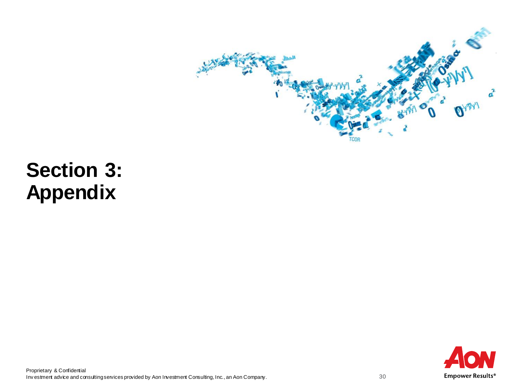

# **Section 3: Appendix**

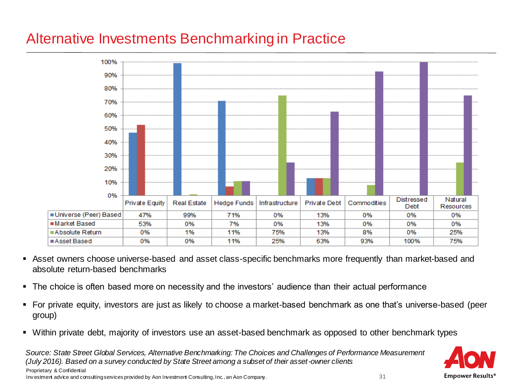### Alternative Investments Benchmarking in Practice



- Asset owners choose universe-based and asset class-specific benchmarks more frequently than market-based and absolute return-based benchmarks
- The choice is often based more on necessity and the investors' audience than their actual performance
- For private equity, investors are just as likely to choose a market-based benchmark as one that's universe-based (peer group)
- Within private debt, majority of investors use an asset-based benchmark as opposed to other benchmark types

*Source: State Street Global Services, Alternative Benchmarking: The Choices and Challenges of Performance Measurement (July 2016). Based on a survey conducted by State Street among a subset of their asset-owner clients*

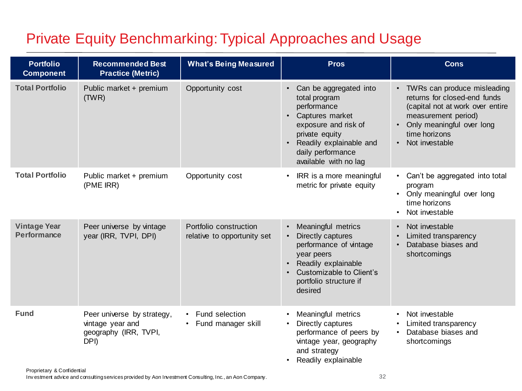### Private Equity Benchmarking: Typical Approaches and Usage

| <b>Portfolio</b><br><b>Component</b>      | <b>Recommended Best</b><br><b>Practice (Metric)</b>                             | <b>What's Being Measured</b>                          | <b>Pros</b>                                                                                                                                                                                                            | <b>Cons</b>                                                                                                                                                                                           |
|-------------------------------------------|---------------------------------------------------------------------------------|-------------------------------------------------------|------------------------------------------------------------------------------------------------------------------------------------------------------------------------------------------------------------------------|-------------------------------------------------------------------------------------------------------------------------------------------------------------------------------------------------------|
| <b>Total Portfolio</b>                    | Public market + premium<br>(TWR)                                                | Opportunity cost                                      | Can be aggregated into<br>$\bullet$<br>total program<br>performance<br>Captures market<br>$\bullet$<br>exposure and risk of<br>private equity<br>Readily explainable and<br>daily performance<br>available with no lag | • TWRs can produce misleading<br>returns for closed-end funds<br>(capital not at work over entire<br>measurement period)<br>Only meaningful over long<br>time horizons<br>Not investable<br>$\bullet$ |
| <b>Total Portfolio</b>                    | Public market + premium<br>(PME IRR)                                            | Opportunity cost                                      | IRR is a more meaningful<br>metric for private equity                                                                                                                                                                  | Can't be aggregated into total<br>$\bullet$<br>program<br>Only meaningful over long<br>$\bullet$<br>time horizons<br>Not investable                                                                   |
| <b>Vintage Year</b><br><b>Performance</b> | Peer universe by vintage<br>year (IRR, TVPI, DPI)                               | Portfolio construction<br>relative to opportunity set | Meaningful metrics<br>$\bullet$<br>Directly captures<br>performance of vintage<br>year peers<br>Readily explainable<br>$\bullet$<br>Customizable to Client's<br>portfolio structure if<br>desired                      | Not investable<br>$\bullet$<br>Limited transparency<br>$\bullet$<br>Database biases and<br>shortcomings                                                                                               |
| <b>Fund</b>                               | Peer universe by strategy,<br>vintage year and<br>geography (IRR, TVPI,<br>DPI) | Fund selection<br>$\bullet$<br>• Fund manager skill   | Meaningful metrics<br>Directly captures<br>performance of peers by<br>vintage year, geography<br>and strategy<br>Readily explainable<br>$\bullet$                                                                      | Not investable<br>$\bullet$<br>Limited transparency<br>Database biases and<br>shortcomings                                                                                                            |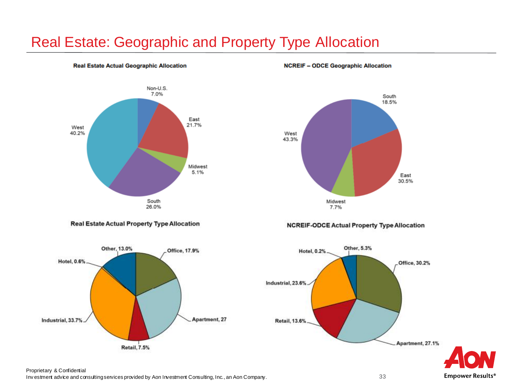### Real Estate: Geographic and Property Type Allocation



#### **Real Estate Actual Geographic Allocation**

#### **NCREIF - ODCE Geographic Allocation**



#### **Real Estate Actual Property Type Allocation**



#### **NCREIF-ODCE Actual Property Type Allocation**

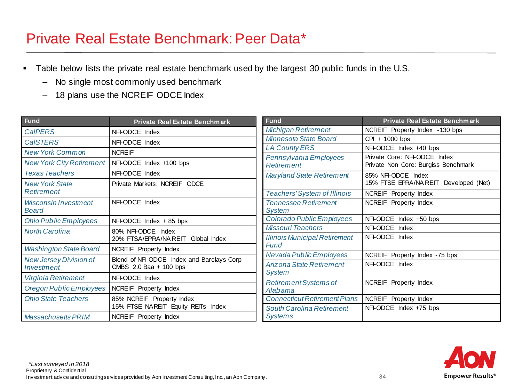### Private Real Estate Benchmark: Peer Data\*

- Table below lists the private real estate benchmark used by the largest 30 public funds in the U.S.
	- No single most commonly used benchmark
	- 18 plans use the NCREIF ODCE Index

| <b>Fund</b>                                        | <b>Private Real Estate Benchmark</b>      | <b>Fund</b>                                 | Private Real Estate Benchmark                                       |
|----------------------------------------------------|-------------------------------------------|---------------------------------------------|---------------------------------------------------------------------|
| <b>CaIPERS</b>                                     | NFI-ODCE Index                            | <b>Michigan Retirement</b>                  | NCREIF Property Index -130 bps                                      |
| <b>CaISTERS</b>                                    | NFI-ODCE Index                            | Minnesota State Board                       | CPI + 1000 bps                                                      |
| <b>New York Common</b>                             | <b>NCREIF</b>                             | <b>LA County ERS</b>                        | NFI-ODCE Index +40 bps                                              |
| New York City Retirement   NFI-ODCE Index +100 bps |                                           | Pennsylvania Employees<br><b>Retirement</b> | Private Core: NFI-ODCE Index<br>Private Non Core: Burgiss Benchmark |
| <b>Texas Teachers</b>                              | NFI-ODCE Index                            | <b>Maryland State Retirement</b>            | 85% NFI-ODCE Index                                                  |
| <b>New York State</b>                              | Private Markets: NCREIF ODCE              |                                             | 15% FTSE EPRA/NA REIT Developed (Net)                               |
| <b>Retirement</b>                                  |                                           | <b>Teachers' System of Illinois</b>         | NCREIF Property Index                                               |
| Wisconsin Investment                               | NFI-ODCE Index                            | <b>Tennessee Retirement</b>                 | NCREIF Property Index                                               |
| <b>Board</b>                                       |                                           | <b>System</b>                               |                                                                     |
| <b>Ohio Public Employees</b>                       | NFI-ODCE Index + 85 bps                   | Colorado Public Employees                   | NFI-ODCE Index +50 bps                                              |
| <b>North Carolina</b>                              | 80% NFI-ODCE Index                        | <b>Missouri Teachers</b>                    | NFI-ODCE Index                                                      |
|                                                    | 20% FTSA/EPRA/NA REIT Global Index        | <b>Illinois Municipal Retirement</b>        | NFI-ODCE Index                                                      |
| <b>Washington State Board</b>                      | NCREIF Property Index                     | Fund                                        |                                                                     |
| <b>New Jersey Division of</b>                      | Blend of NFI-ODCE Index and Barclays Corp | Nevada Public Employees                     | NCREIF Property Index -75 bps                                       |
| Investment                                         | CMBS $2.0$ Baa + 100 bps                  | <b>Arizona State Retirement</b><br>System   | NFI-ODCE Index                                                      |
| Virginia Retirement                                | NFI-ODCE Index                            |                                             | NCREIF Property Index                                               |
| Oregon Public Employees                            | NCREIF Property Index                     | Retirement Systems of<br>Alabama            |                                                                     |
| <b>Ohio State Teachers</b>                         | 85% NCREIF Property Index                 | Connecticut Retirement Plans                | NCREIF Property Index                                               |
|                                                    | 15% FTSE NAREIT Equity REITs Index        | <b>South Carolina Retirement</b>            | NFI-ODCE Index +75 bps                                              |
| <b>Massachusetts PRIM</b>                          | NCREIF Property Index                     | <b>Systems</b>                              |                                                                     |

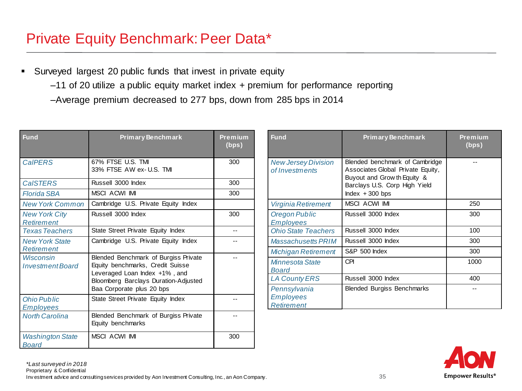### Private Equity Benchmark: Peer Data\*

■ Surveyed largest 20 public funds that invest in private equity  $-11$  of 20 utilize a public equity market index  $+$  premium for performance reporting ‒Average premium decreased to 277 bps, down from 285 bps in 2014

| <b>Fund</b>                                | Primary Benchmark                                                                                                                                                              | <b>Premium</b><br>(bps) |
|--------------------------------------------|--------------------------------------------------------------------------------------------------------------------------------------------------------------------------------|-------------------------|
| <b>CalPERS</b>                             | 67% FTSE U.S. TMI<br>33% FTSE AW ex-U.S. TM                                                                                                                                    | 300                     |
| <b>CaISTERS</b>                            | Russell 3000 Index                                                                                                                                                             | 300                     |
| Florida SBA                                | MSCI ACWI IMI                                                                                                                                                                  | 300                     |
| <b>New York Common</b>                     | Cambridge U.S. Private Equity Index                                                                                                                                            |                         |
| <b>New York City</b><br><b>Retirement</b>  | Russell 3000 Index                                                                                                                                                             | 300                     |
| <b>Texas Teachers</b>                      | State Street Private Equity Index                                                                                                                                              | --                      |
| <b>New York State</b><br><b>Retirement</b> | Cambridge U.S. Private Equity Index                                                                                                                                            |                         |
| Wisconsin<br><b>Investment Board</b>       | Blended Benchmark of Burgiss Private<br>Equity benchmarks, Credit Suisse<br>Leveraged Loan Index +1%, and<br>Bloomberg Barclays Duration-Adjusted<br>Baa Corporate plus 20 bps |                         |
| <b>Ohio Public</b><br><b>Employees</b>     | State Street Private Equity Index                                                                                                                                              |                         |
| <b>North Carolina</b>                      | Blended Benchmark of Burgiss Private<br>Equity benchmarks                                                                                                                      |                         |
| <b>Washington State</b><br><b>Board</b>    | MSCI ACWI IMI                                                                                                                                                                  | 300                     |

| <b>Fund</b>                                    | Primary Benchmark                                                                                                                                        | <b>Premium</b><br>(bps) |
|------------------------------------------------|----------------------------------------------------------------------------------------------------------------------------------------------------------|-------------------------|
| <b>New Jersey Division</b><br>of Investments   | Blended benchmark of Cambridge<br>Associates Global Private Equity,<br>Buyout and Grow th Equity &<br>Barclays U.S. Corp High Yield<br>$Index + 300$ bps |                         |
| Virginia Retirement                            | <b>MSCI ACWI IMI</b>                                                                                                                                     | 250                     |
| Oregon Public<br><u>Employees</u>              | Russell 3000 Index                                                                                                                                       | 300                     |
| <b>Ohio State Teachers</b>                     | Russell 3000 Index                                                                                                                                       | 100                     |
| Massachusetts PRIM                             | Russell 3000 Index                                                                                                                                       | 300                     |
| Michigan Retirement                            | <b>S&amp;P 500 Index</b>                                                                                                                                 | 300                     |
| Minnesota State<br>Board                       | <b>CPI</b>                                                                                                                                               | 1000                    |
| <b>LA County ERS</b>                           | Russell 3000 Index                                                                                                                                       | 400                     |
| Pennsylvania<br><b>Employees</b><br>Retirement | <b>Blended Burgiss Benchmarks</b>                                                                                                                        |                         |

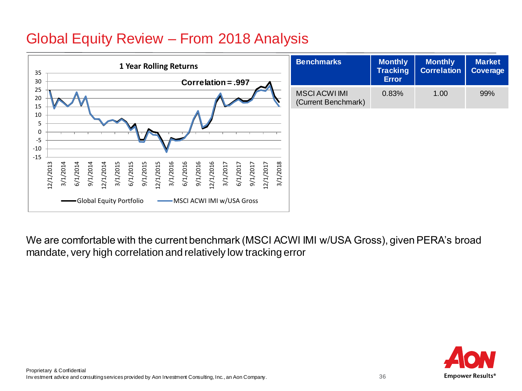## Global Equity Review – From 2018 Analysis



We are comfortable with the current benchmark (MSCI ACWI IMI w/USA Gross), given PERA's broad mandate, very high correlation and relatively low tracking error

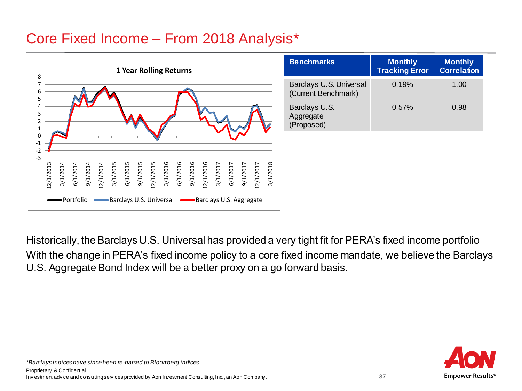### Core Fixed Income – From 2018 Analysis\*



| <b>Benchmarks</b>                              | <b>Monthly</b><br><b>Tracking Error</b> | <b>Monthly</b><br><b>Correlation</b> |
|------------------------------------------------|-----------------------------------------|--------------------------------------|
| Barclays U.S. Universal<br>(Current Benchmark) | 0.19%                                   | 1.00                                 |
| Barclays U.S.<br>Aggregate<br>(Proposed)       | 0.57%                                   | 0.98                                 |

Historically, the Barclays U.S. Universal has provided a very tight fit for PERA's fixed income portfolio With the change in PERA's fixed income policy to a core fixed income mandate, we believe the Barclays U.S. Aggregate Bond Index will be a better proxy on a go forward basis.



Proprietary & Confidential Inv estment advice and consulting services provided by Aon Investment Consulting, Inc., an Aon Company. 37 *\*Barclays indices have since been re-named to Bloomberg indices*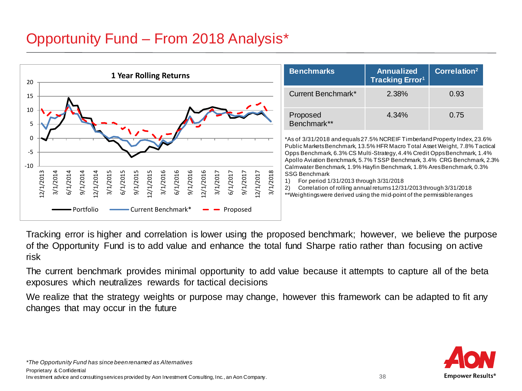## Opportunity Fund – From 2018 Analysis\*



| <b>Benchmarks</b>       | Annualized<br><b>Tracking Error1</b> | <b>Correlation<sup>2</sup></b> |
|-------------------------|--------------------------------------|--------------------------------|
| Current Benchmark*      | 2.38%                                | 0.93                           |
| Proposed<br>Benchmark** | 4.34%                                | 0.75                           |

\*As of 3/31/2018 and equals 27.5% NCREIF Timberland Property Index, 23.6% Public Markets Benchmark, 13.5% HFR Macro Total Asset Weight, 7.8% Tactical Opps Benchmark, 6.3% CS Multi-Strategy, 4.4% Credit Opps Benchmark, 1.4% Apollo Aviation Benchmark, 5.7% TSSP Benchmark, 3.4% CRG Benchmark, 2.3% Calmwater Benchmark, 1.9% Hayfin Benchmark, 1.8% Ares Benchmark, 0.3% SSG Benchmark

1) For period 1/31/2013 through 3/31/2018

2) Correlation of rolling annual returns 12/31/2013 through 3/31/2018

\*\*Weightings were derived using the mid-point of the permissible ranges

Tracking error is higher and correlation is lower using the proposed benchmark; however, we believe the purpose of the Opportunity Fund is to add value and enhance the total fund Sharpe ratio rather than focusing on active risk

The current benchmark provides minimal opportunity to add value because it attempts to capture all of the beta exposures which neutralizes rewards for tactical decisions

We realize that the strategy weights or purpose may change, however this framework can be adapted to fit any changes that may occur in the future

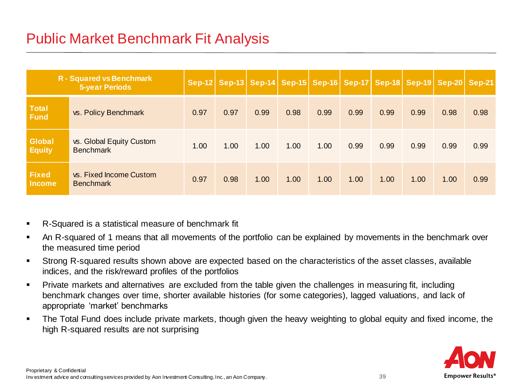### Public Market Benchmark Fit Analysis

|                                | <b>R</b> - Squared vs Benchmark<br><b>5-year Periods</b> |      |      |      |      | Sep-12 Sep-13 Sep-14 Sep-15 Sep-16 Sep-17 Sep-18 Sep-19 Sep-20 Sep-21 |      |      |      |      |      |
|--------------------------------|----------------------------------------------------------|------|------|------|------|-----------------------------------------------------------------------|------|------|------|------|------|
| Total<br><b>Fund</b>           | vs. Policy Benchmark                                     | 0.97 | 0.97 | 0.99 | 0.98 | 0.99                                                                  | 0.99 | 0.99 | 0.99 | 0.98 | 0.98 |
| <b>Global</b><br><b>Equity</b> | vs. Global Equity Custom<br><b>Benchmark</b>             | 1.00 | 1.00 | 1.00 | 1.00 | 1.00                                                                  | 0.99 | 0.99 | 0.99 | 0.99 | 0.99 |
| <b>Fixed</b><br><b>Income</b>  | vs. Fixed Income Custom<br><b>Benchmark</b>              | 0.97 | 0.98 | 1.00 | 1.00 | 1.00                                                                  | 1.00 | 1.00 | 1.00 | 1.00 | 0.99 |

- R-Squared is a statistical measure of benchmark fit
- An R-squared of 1 means that all movements of the portfolio can be explained by movements in the benchmark over the measured time period
- Strong R-squared results shown above are expected based on the characteristics of the asset classes, available indices, and the risk/reward profiles of the portfolios
- **•** Private markets and alternatives are excluded from the table given the challenges in measuring fit, including benchmark changes over time, shorter available histories (for some categories), lagged valuations, and lack of appropriate 'market' benchmarks
- The Total Fund does include private markets, though given the heavy weighting to global equity and fixed income, the high R-squared results are not surprising